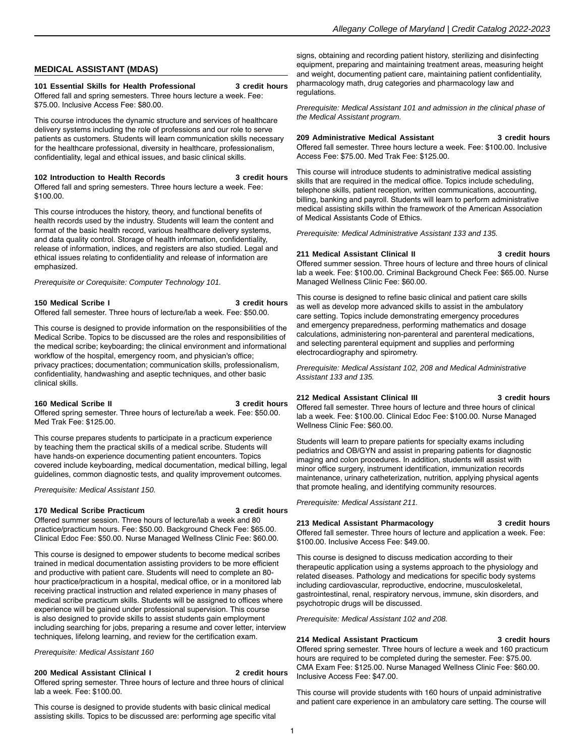# **MEDICAL ASSISTANT (MDAS)**

### **101 Essential Skills for Health Professional 3 credit hours**

Offered fall and spring semesters. Three hours lecture a week. Fee: \$75.00. Inclusive Access Fee: \$80.00.

This course introduces the dynamic structure and services of healthcare delivery systems including the role of professions and our role to serve patients as customers. Students will learn communication skills necessary for the healthcare professional, diversity in healthcare, professionalism, confidentiality, legal and ethical issues, and basic clinical skills.

# **102 Introduction to Health Records 3 credit hours**

Offered fall and spring semesters. Three hours lecture a week. Fee: \$100.00.

This course introduces the history, theory, and functional benefits of health records used by the industry. Students will learn the content and format of the basic health record, various healthcare delivery systems, and data quality control. Storage of health information, confidentiality, release of information, indices, and registers are also studied. Legal and ethical issues relating to confidentiality and release of information are emphasized.

Prerequisite or Corequisite: Computer Technology 101.

#### **150 Medical Scribe I 3 credit hours** Offered fall semester. Three hours of lecture/lab a week. Fee: \$50.00.

This course is designed to provide information on the responsibilities of the Medical Scribe. Topics to be discussed are the roles and responsibilities of the medical scribe; keyboarding; the clinical environment and informational workflow of the hospital, emergency room, and physician's office; privacy practices; documentation; communication skills, professionalism, confidentiality, handwashing and aseptic techniques, and other basic clinical skills.

#### **160 Medical Scribe II 3 credit hours**

Offered spring semester. Three hours of lecture/lab a week. Fee: \$50.00. Med Trak Fee: \$125.00.

This course prepares students to participate in a practicum experience by teaching them the practical skills of a medical scribe. Students will have hands-on experience documenting patient encounters. Topics covered include keyboarding, medical documentation, medical billing, legal guidelines, common diagnostic tests, and quality improvement outcomes.

Prerequisite: Medical Assistant 150.

# **170 Medical Scribe Practicum 3 credit hours**

Offered summer session. Three hours of lecture/lab a week and 80 practice/practicum hours. Fee: \$50.00. Background Check Fee: \$65.00. Clinical Edoc Fee: \$50.00. Nurse Managed Wellness Clinic Fee: \$60.00.

This course is designed to empower students to become medical scribes trained in medical documentation assisting providers to be more efficient and productive with patient care. Students will need to complete an 80 hour practice/practicum in a hospital, medical office, or in a monitored lab receiving practical instruction and related experience in many phases of medical scribe practicum skills. Students will be assigned to offices where experience will be gained under professional supervision. This course is also designed to provide skills to assist students gain employment including searching for jobs, preparing a resume and cover letter, interview techniques, lifelong learning, and review for the certification exam.

Prerequisite: Medical Assistant 160

# **200 Medical Assistant Clinical I 2 credit hours**

Offered spring semester. Three hours of lecture and three hours of clinical lab a week. Fee: \$100.00.

This course is designed to provide students with basic clinical medical assisting skills. Topics to be discussed are: performing age specific vital signs, obtaining and recording patient history, sterilizing and disinfecting equipment, preparing and maintaining treatment areas, measuring height and weight, documenting patient care, maintaining patient confidentiality, pharmacology math, drug categories and pharmacology law and regulations.

Prerequisite: Medical Assistant 101 and admission in the clinical phase of the Medical Assistant program.

**209 Administrative Medical Assistant 3 credit hours** Offered fall semester. Three hours lecture a week. Fee: \$100.00. Inclusive Access Fee: \$75.00. Med Trak Fee: \$125.00.

This course will introduce students to administrative medical assisting skills that are required in the medical office. Topics include scheduling, telephone skills, patient reception, written communications, accounting, billing, banking and payroll. Students will learn to perform administrative medical assisting skills within the framework of the American Association of Medical Assistants Code of Ethics.

Prerequisite: Medical Administrative Assistant 133 and 135.

# **211 Medical Assistant Clinical II 3 credit hours**

Offered summer session. Three hours of lecture and three hours of clinical lab a week. Fee: \$100.00. Criminal Background Check Fee: \$65.00. Nurse Managed Wellness Clinic Fee: \$60.00.

This course is designed to refine basic clinical and patient care skills as well as develop more advanced skills to assist in the ambulatory care setting. Topics include demonstrating emergency procedures and emergency preparedness, performing mathematics and dosage calculations, administering non-parenteral and parenteral medications, and selecting parenteral equipment and supplies and performing electrocardiography and spirometry.

Prerequisite: Medical Assistant 102, 208 and Medical Administrative Assistant 133 and 135.

# **212 Medical Assistant Clinical III 3 credit hours**

Offered fall semester. Three hours of lecture and three hours of clinical lab a week. Fee: \$100.00. Clinical Edoc Fee: \$100.00. Nurse Managed Wellness Clinic Fee: \$60.00.

Students will learn to prepare patients for specialty exams including pediatrics and OB/GYN and assist in preparing patients for diagnostic imaging and colon procedures. In addition, students will assist with minor office surgery, instrument identification, immunization records maintenance, urinary catheterization, nutrition, applying physical agents that promote healing, and identifying community resources.

Prerequisite: Medical Assistant 211.

# **213 Medical Assistant Pharmacology 3 credit hours**

Offered fall semester. Three hours of lecture and application a week. Fee: \$100.00. Inclusive Access Fee: \$49.00.

This course is designed to discuss medication according to their therapeutic application using a systems approach to the physiology and related diseases. Pathology and medications for specific body systems including cardiovascular, reproductive, endocrine, musculoskeletal, gastrointestinal, renal, respiratory nervous, immune, skin disorders, and psychotropic drugs will be discussed.

Prerequisite: Medical Assistant 102 and 208.

# **214 Medical Assistant Practicum 3 credit hours**

Offered spring semester. Three hours of lecture a week and 160 practicum hours are required to be completed during the semester. Fee: \$75.00. CMA Exam Fee: \$125.00. Nurse Managed Wellness Clinic Fee: \$60.00. Inclusive Access Fee: \$47.00.

This course will provide students with 160 hours of unpaid administrative and patient care experience in an ambulatory care setting. The course will